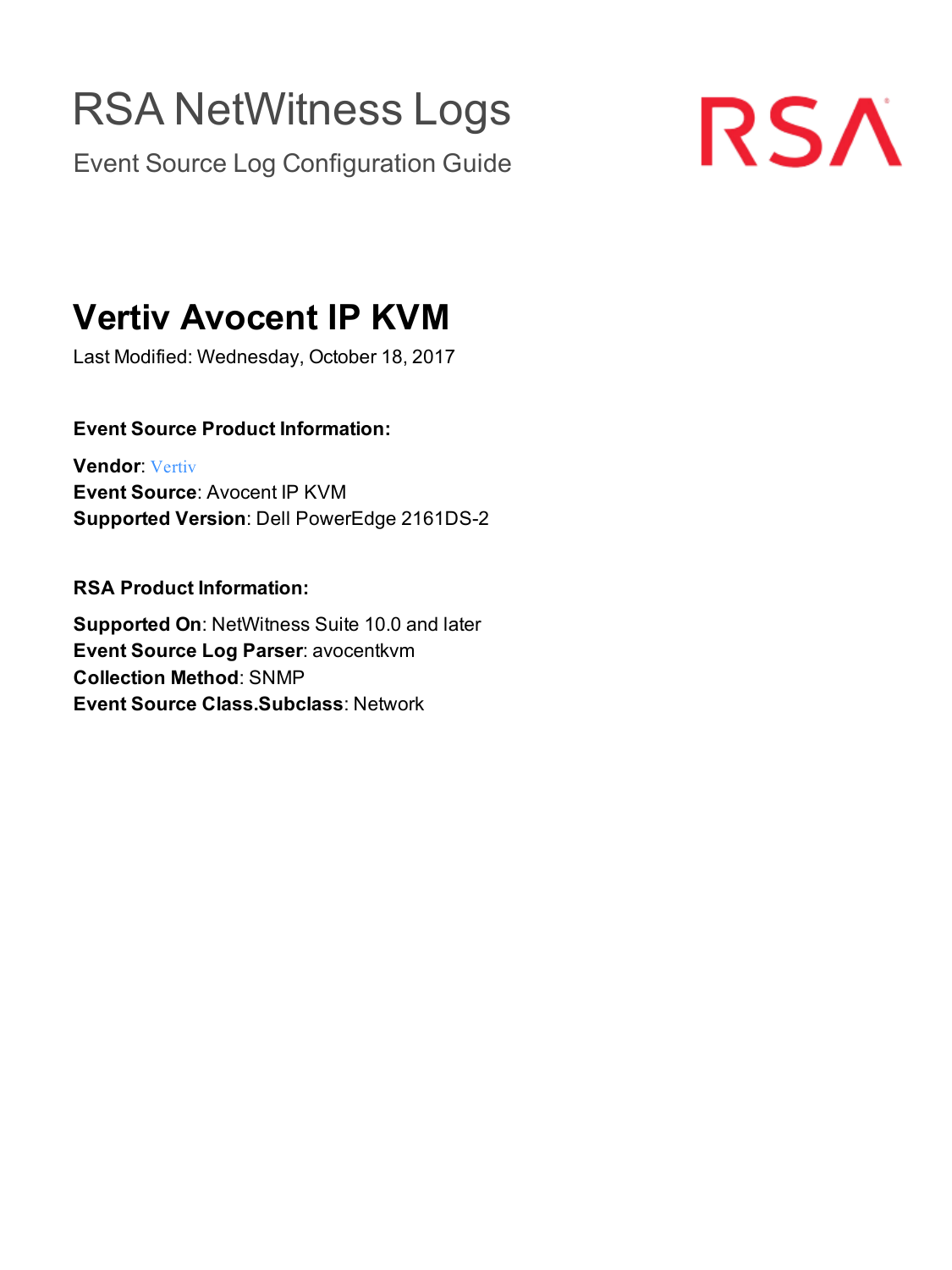# RSA NetWitness Logs

Event Source Log Configuration Guide



## **Vertiv Avocent IP KVM**

Last Modified: Wednesday, October 18, 2017

### **Event Source Product Information:**

**Vendor**: [Vertiv](https://www.vertivco.com/) **Event Source**: Avocent IP KVM **Supported Version**: Dell PowerEdge 2161DS-2

**RSA Product Information:**

**Supported On**: NetWitness Suite 10.0 and later **Event Source Log Parser**: avocentkvm **Collection Method**: SNMP **Event Source Class.Subclass**: Network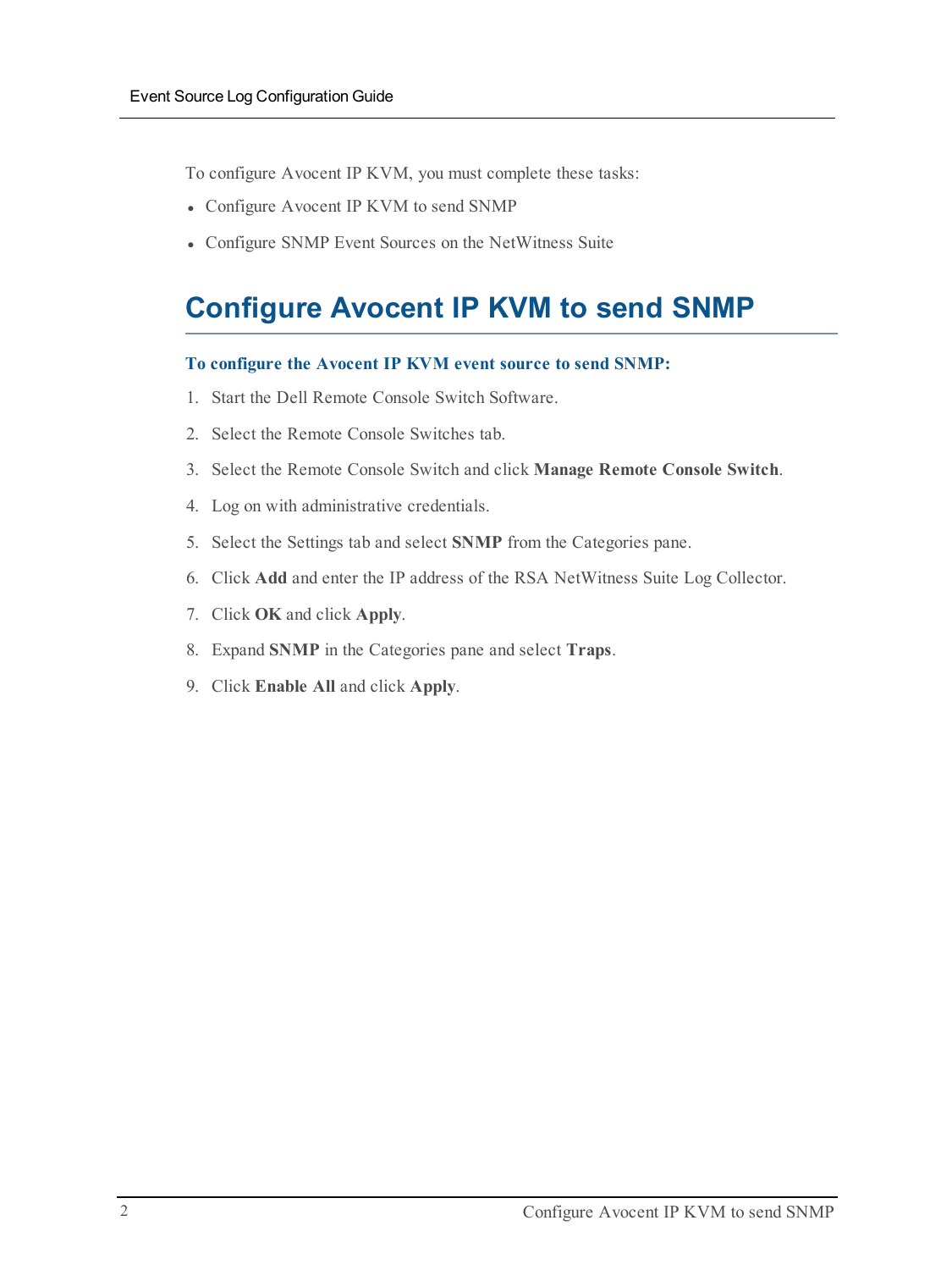To configure Avocent IP KVM, you must complete these tasks:

- Configure Avocent IP KVM to send SNMP
- Configure SNMP Event Sources on the NetWitness Suite

## **Configure Avocent IP KVM to send SNMP**

#### **To configure the Avocent IP KVM event source to send SNMP:**

- 1. Start the Dell Remote Console Switch Software.
- 2. Select the Remote Console Switches tab.
- 3. Select the Remote Console Switch and click **Manage Remote Console Switch**.
- 4. Log on with administrative credentials.
- 5. Select the Settings tab and select **SNMP** from the Categories pane.
- 6. Click **Add** and enter the IP address of the RSA NetWitness Suite Log Collector.
- 7. Click **OK** and click **Apply**.
- 8. Expand **SNMP** in the Categories pane and select **Traps**.
- 9. Click **Enable All** and click **Apply**.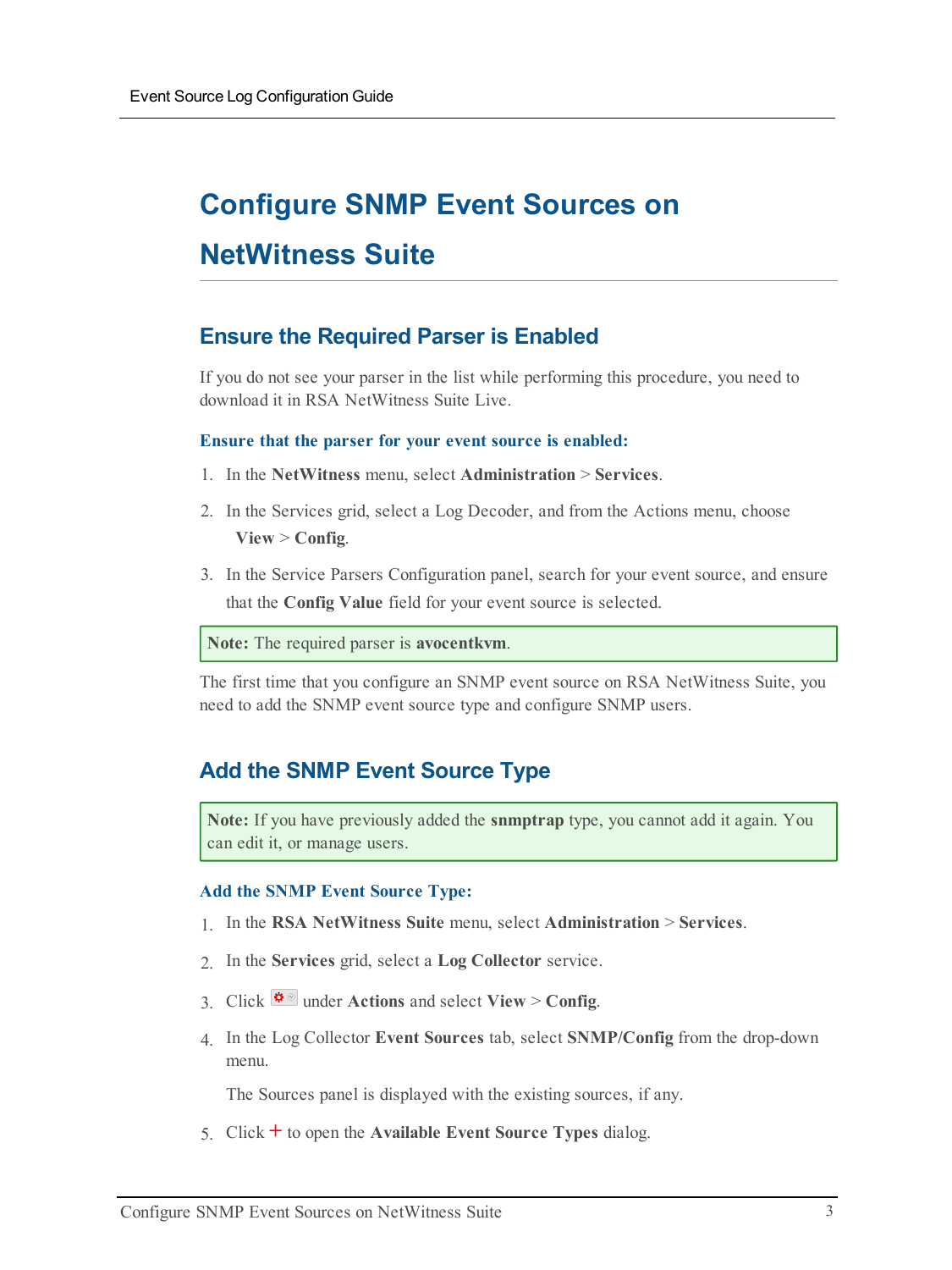## **Configure SNMP Event Sources on NetWitness Suite**

## **Ensure the Required Parser is Enabled**

If you do not see your parser in the list while performing this procedure, you need to download it in RSA NetWitness Suite Live.

#### **Ensure that the parser for your event source is enabled:**

- 1. In the **NetWitness** menu, select **Administration** > **Services**.
- 2. In the Services grid, select a Log Decoder, and from the Actions menu, choose **View** > **Config**.
- 3. In the Service Parsers Configuration panel, search for your event source, and ensure that the **Config Value** field for your event source is selected.

**Note:** The required parser is **avocentkvm**.

The first time that you configure an SNMP event source on RSA NetWitness Suite, you need to add the SNMP event source type and configure SNMP users.

## **Add the SNMP Event Source Type**

**Note:** If you have previously added the **snmptrap** type, you cannot add it again. You can edit it, or manage users.

#### **Add the SNMP Event Source Type:**

- 1. In the **RSA NetWitness Suite** menu, select **Administration** > **Services**.
- 2. In the **Services** grid, select a **Log Collector** service.
- 3. Click  $\frac{\phi}{\phi}$  under **Actions** and select **View** > **Config.**
- 4. In the Log Collector **Event Sources** tab, select **SNMP/Config** from the drop-down menu.

The Sources panel is displayed with the existing sources, if any.

5. Click **+** to open the **Available Event Source Types** dialog.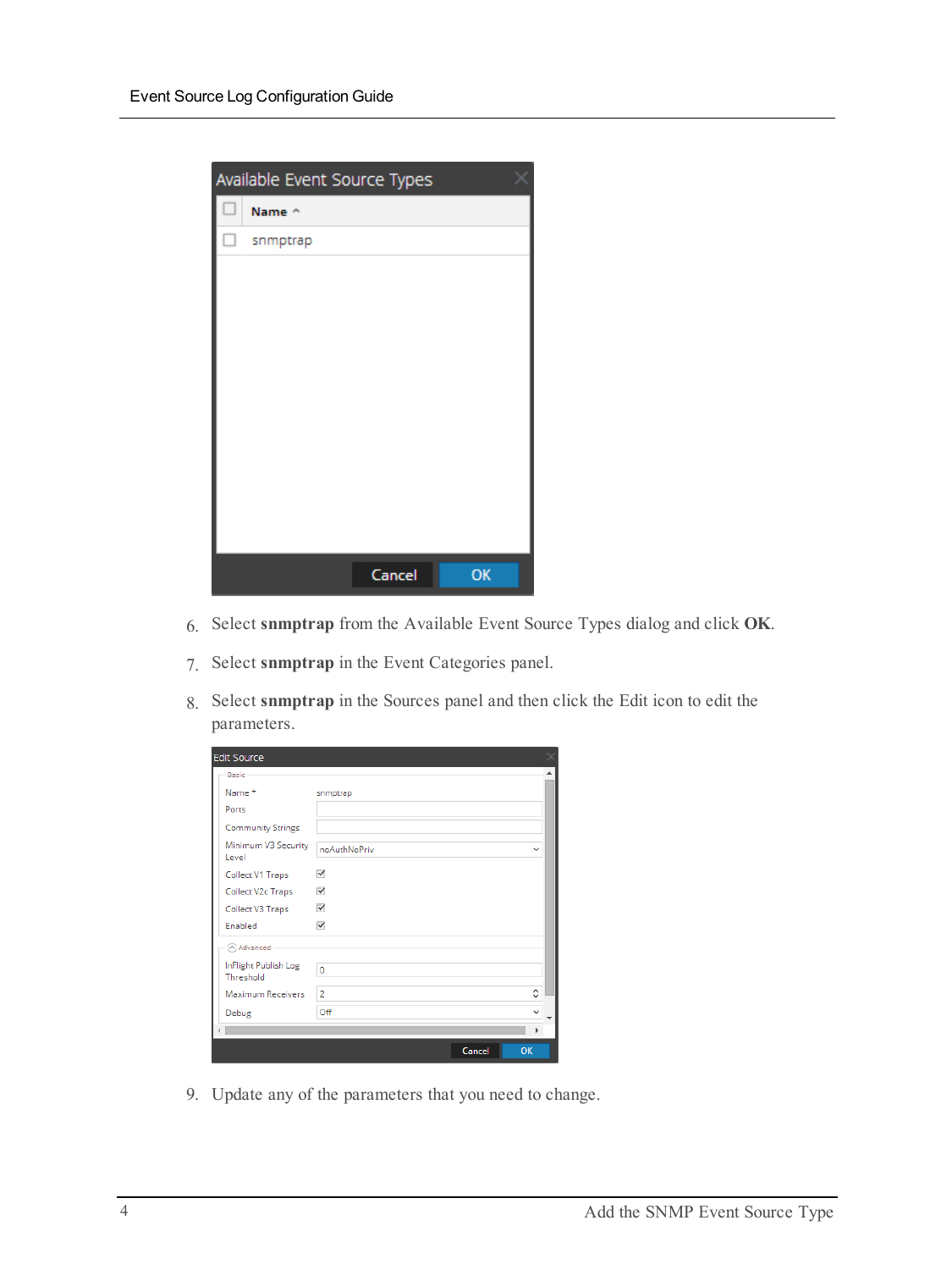| Available Event Source Types |          |        |    |  |  |  |
|------------------------------|----------|--------|----|--|--|--|
|                              | Name ^   |        |    |  |  |  |
| п                            | snmptrap |        |    |  |  |  |
|                              |          |        |    |  |  |  |
|                              |          |        |    |  |  |  |
|                              |          |        |    |  |  |  |
|                              |          |        |    |  |  |  |
|                              |          |        |    |  |  |  |
|                              |          |        |    |  |  |  |
|                              |          |        |    |  |  |  |
|                              |          |        |    |  |  |  |
|                              |          |        |    |  |  |  |
|                              |          |        |    |  |  |  |
|                              |          | Cancel | OK |  |  |  |

- 6. Select **snmptrap** from the Available Event Source Types dialog and click **OK**.
- 7. Select **snmptrap** in the Event Categories panel.
- 8. Select **snmptrap** in the Sources panel and then click the Edit icon to edit the parameters.

| <b>Edit Source</b><br>×           |                              |  |  |  |  |  |
|-----------------------------------|------------------------------|--|--|--|--|--|
| - Basic                           |                              |  |  |  |  |  |
| Name*                             | snmptrap                     |  |  |  |  |  |
| Ports                             |                              |  |  |  |  |  |
| <b>Community Strings</b>          |                              |  |  |  |  |  |
| Minimum V3 Security<br>Level      | noAuthNoPriv<br>$\checkmark$ |  |  |  |  |  |
| Collect V1 Traps                  | $\blacktriangledown$         |  |  |  |  |  |
| Collect V2c Traps                 | $\blacktriangledown$         |  |  |  |  |  |
| Collect V3 Traps                  | √                            |  |  |  |  |  |
| Enabled                           | $\overline{\checkmark}$      |  |  |  |  |  |
| Advanced                          |                              |  |  |  |  |  |
| InFlight Publish Log<br>Threshold | $\mathbf 0$                  |  |  |  |  |  |
| Maximum Receivers                 | $\hat{C}$<br>$\overline{2}$  |  |  |  |  |  |
| Debug                             | Off                          |  |  |  |  |  |
|                                   | ۱                            |  |  |  |  |  |
|                                   | Cancel<br>OK                 |  |  |  |  |  |

9. Update any of the parameters that you need to change.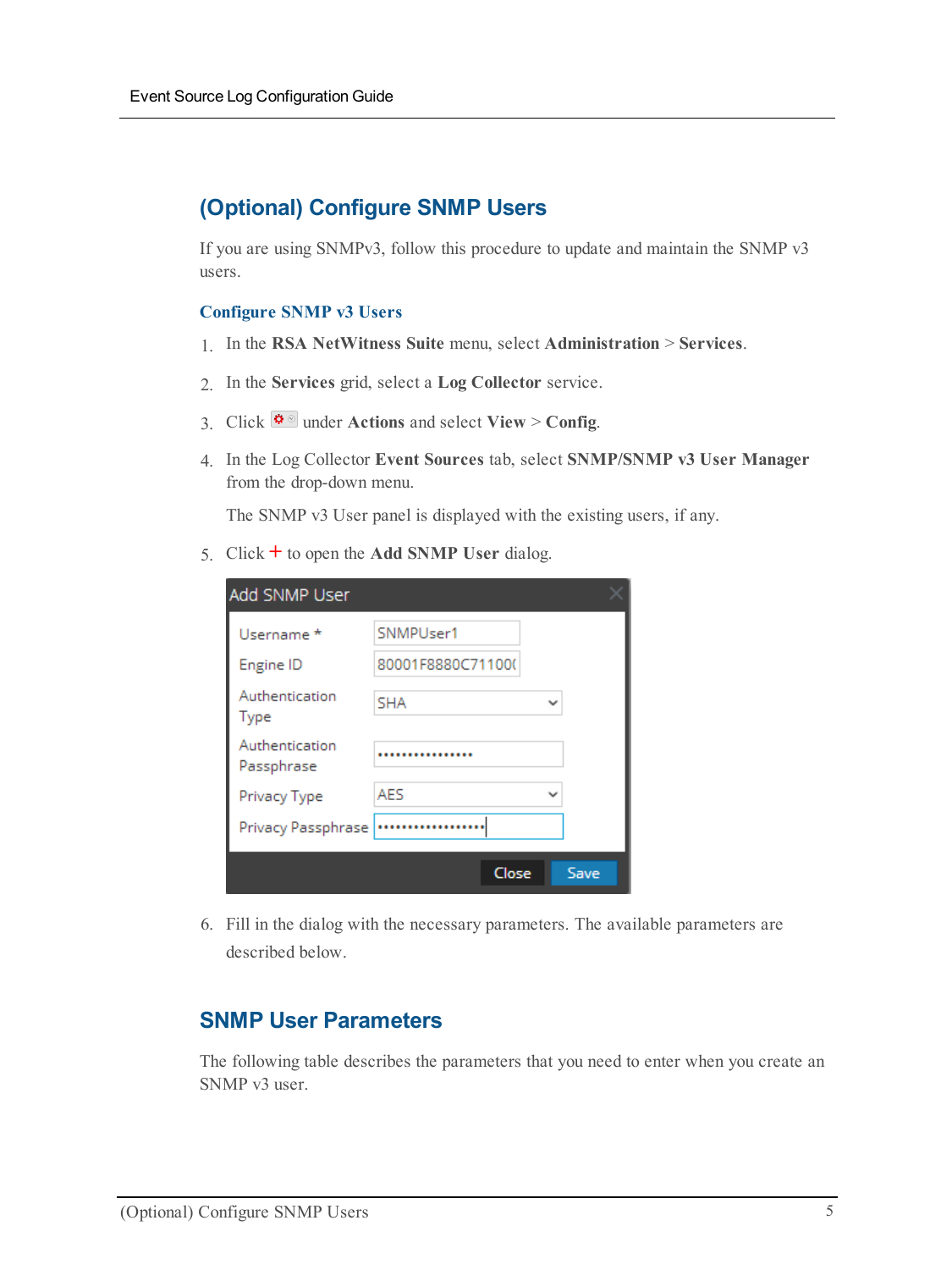## **(Optional) Configure SNMP Users**

If you are using SNMPv3, follow this procedure to update and maintain the SNMP v3 users.

#### **Configure SNMP v3 Users**

- 1. In the **RSA NetWitness Suite** menu, select **Administration** > **Services**.
- 2. In the **Services** grid, select a **Log Collector** service.
- 3. Click  $\mathbf{\Phi} \otimes$  under **Actions** and select **View** > **Config.**
- 4. In the Log Collector **Event Sources** tab, select **SNMP/SNMP v3 User Manager** from the drop-down menu.

The SNMP v3 User panel is displayed with the existing users, if any.

5. Click  $\pm$  to open the **Add SNMP** User dialog.

| Add SNMP User                |                   |             |      |  |  |
|------------------------------|-------------------|-------------|------|--|--|
| Username *                   | SNMPUser1         |             |      |  |  |
| Engine ID                    | 80001F8880C71100( |             |      |  |  |
| Authentication<br>Type       | <b>SHA</b>        | $\check{ }$ |      |  |  |
| Authentication<br>Passphrase |                   |             |      |  |  |
| Privacy Type                 | <b>AFS</b>        | $\check{ }$ |      |  |  |
| Privacy Passphrase           |                   |             |      |  |  |
|                              | Close             |             | Save |  |  |

6. Fill in the dialog with the necessary parameters. The available parameters are described below.

### **SNMP User Parameters**

The following table describes the parameters that you need to enter when you create an SNMP v3 user.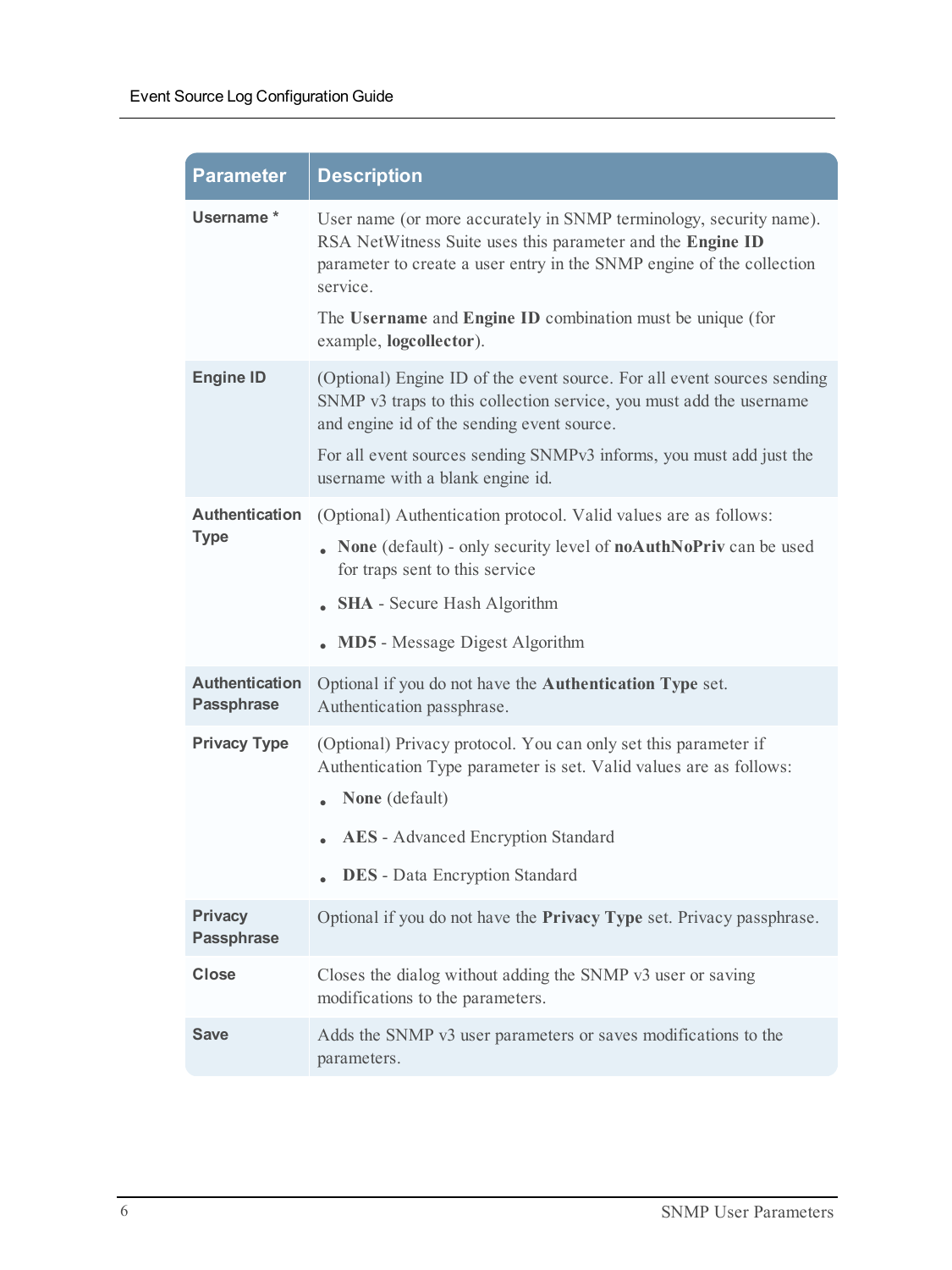| <b>Parameter</b>                           | <b>Description</b>                                                                                                                                                                                                    |
|--------------------------------------------|-----------------------------------------------------------------------------------------------------------------------------------------------------------------------------------------------------------------------|
| Username *                                 | User name (or more accurately in SNMP terminology, security name).<br>RSA NetWitness Suite uses this parameter and the Engine ID<br>parameter to create a user entry in the SNMP engine of the collection<br>service. |
|                                            | The Username and Engine ID combination must be unique (for<br>example, logcollector).                                                                                                                                 |
| <b>Engine ID</b>                           | (Optional) Engine ID of the event source. For all event sources sending<br>SNMP v3 traps to this collection service, you must add the username<br>and engine id of the sending event source.                          |
|                                            | For all event sources sending SNMPv3 informs, you must add just the<br>username with a blank engine id.                                                                                                               |
| <b>Authentication</b><br><b>Type</b>       | (Optional) Authentication protocol. Valid values are as follows:<br>None (default) - only security level of noAuthNoPriv can be used<br>for traps sent to this service                                                |
|                                            | <b>SHA</b> - Secure Hash Algorithm                                                                                                                                                                                    |
|                                            | <b>MD5</b> - Message Digest Algorithm                                                                                                                                                                                 |
| <b>Authentication</b><br><b>Passphrase</b> | Optional if you do not have the <b>Authentication Type</b> set.<br>Authentication passphrase.                                                                                                                         |
| <b>Privacy Type</b>                        | (Optional) Privacy protocol. You can only set this parameter if<br>Authentication Type parameter is set. Valid values are as follows:<br>None (default)                                                               |
|                                            | <b>AES</b> - Advanced Encryption Standard                                                                                                                                                                             |
|                                            | <b>DES</b> - Data Encryption Standard                                                                                                                                                                                 |
| <b>Privacy</b><br><b>Passphrase</b>        | Optional if you do not have the Privacy Type set. Privacy passphrase.                                                                                                                                                 |
| <b>Close</b>                               | Closes the dialog without adding the SNMP v3 user or saving<br>modifications to the parameters.                                                                                                                       |
| <b>Save</b>                                | Adds the SNMP v3 user parameters or saves modifications to the<br>parameters.                                                                                                                                         |